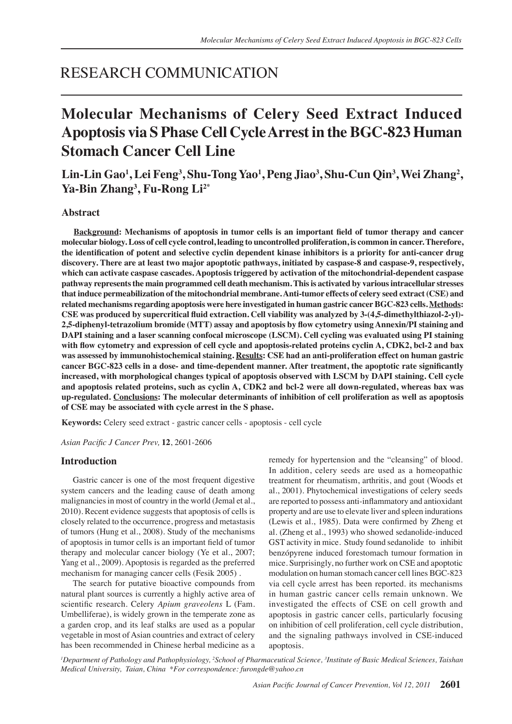# RESEARCH COMMUNICATION

# **Molecular Mechanisms of Celery Seed Extract Induced Apoptosis via S Phase Cell Cycle Arrest in the BGC-823 Human Stomach Cancer Cell Line**

# **Lin-Lin Gao<sup>1</sup> , Lei Feng3 , Shu-Tong Yao<sup>1</sup> , Peng Jiao3 , Shu-Cun Qin3 , Wei Zhang<sup>2</sup> , Ya-Bin Zhang3 , Fu-Rong Li2\***

# **Abstract**

**Background: Mechanisms of apoptosis in tumor cells is an important field of tumor therapy and cancer molecular biology. Loss of cell cycle control, leading to uncontrolled proliferation, is common in cancer. Therefore, the identification of potent and selective cyclin dependent kinase inhibitors is a priority for anti-cancer drug discovery. There are at least two major apoptotic pathways, initiated by caspase-8 and caspase-9, respectively, which can activate caspase cascades. Apoptosis triggered by activation of the mitochondrial-dependent caspase pathway represents the main programmed cell death mechanism. This is activated by various intracellular stresses that induce permeabilization of the mitochondrial membrane. Anti-tumor effects of celery seed extract (CSE) and related mechanisms regarding apoptosis were here investigated in human gastric cancer BGC-823 cells. Methods: CSE was produced by supercritical fluid extraction. Cell viability was analyzed by 3-(4,5-dimethylthiazol-2-yl)- 2,5-diphenyl-tetrazolium bromide (MTT) assay and apoptosis by flow cytometry using Annexin/PI staining and DAPI staining and a laser scanning confocal microscope (LSCM). Cell cycling was evaluated using PI staining with flow cytometry and expression of cell cycle and apoptosis-related proteins cyclin A, CDK2, bcl-2 and bax was assessed by immunohistochemical staining. Results: CSE had an anti-proliferation effect on human gastric cancer BGC-823 cells in a dose- and time-dependent manner. After treatment, the apoptotic rate significantly increased, with morphological changes typical of apoptosis observed with LSCM by DAPI staining. Cell cycle and apoptosis related proteins, such as cyclin A, CDK2 and bcl-2 were all down-regulated, whereas bax was up-regulated. Conclusions: The molecular determinants of inhibition of cell proliferation as well as apoptosis of CSE may be associated with cycle arrest in the S phase.** 

**Keywords:** Celery seed extract - gastric cancer cells - apoptosis - cell cycle

*Asian Pacific J Cancer Prev,* **12**, 2601-2606

# **Introduction**

Gastric cancer is one of the most frequent digestive system cancers and the leading cause of death among malignancies in most of country in the world (Jemal et al., 2010). Recent evidence suggests that apoptosis of cells is closely related to the occurrence, progress and metastasis of tumors (Hung et al., 2008). Study of the mechanisms of apoptosis in tumor cells is an important field of tumor therapy and molecular cancer biology (Ye et al., 2007; Yang et al., 2009). Apoptosis is regarded as the preferred mechanism for managing cancer cells (Fesik 2005) .

The search for putative bioactive compounds from natural plant sources is currently a highly active area of scientific research. Celery *Apium graveolens* L (Fam. Umbelliferae), is widely grown in the temperate zone as a garden crop, and its leaf stalks are used as a popular vegetable in most of Asian countries and extract of celery has been recommended in Chinese herbal medicine as a

remedy for hypertension and the "cleansing" of blood. In addition, celery seeds are used as a homeopathic treatment for rheumatism, arthritis, and gout (Woods et al., 2001). Phytochemical investigations of celery seeds are reported to possess anti-inflammatory and antioxidant property and are use to elevate liver and spleen indurations (Lewis et al., 1985). Data were confirmed by Zheng et al. (Zheng et al., 1993) who showed sedanolide-induced GST activity in mice. Study found sedanolide to inhibit benzópyrene induced forestomach tumour formation in mice. Surprisingly, no further work on CSE and apoptotic modulation on human stomach cancer cell lines BGC-823 via cell cycle arrest has been reported. its mechanisms in human gastric cancer cells remain unknown. We investigated the effects of CSE on cell growth and apoptosis in gastric cancer cells, particularly focusing on inhibition of cell proliferation, cell cycle distribution, and the signaling pathways involved in CSE-induced apoptosis.

*1 Department of Pathology and Pathophysiology, 2 School of Pharmaceutical Science, 3 Institute of Basic Medical Sciences, Taishan Medical University, Taian, China \*For correspondence: furongde@yahoo.cn*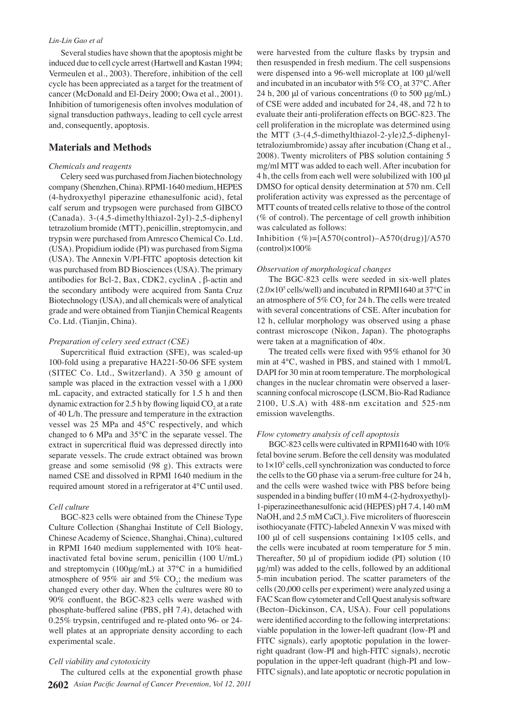#### *Lin-Lin Gao et al*

Several studies have shown that the apoptosis might be induced due to cell cycle arrest (Hartwell and Kastan 1994; Vermeulen et al., 2003). Therefore, inhibition of the cell cycle has been appreciated as a target for the treatment of cancer (McDonald and El-Deiry 2000; Owa et al., 2001). Inhibition of tumorigenesis often involves modulation of signal transduction pathways, leading to cell cycle arrest and, consequently, apoptosis.

# **Materials and Methods**

#### *Chemicals and reagents*

Celery seed was purchased from Jiachen biotechnology company (Shenzhen, China). RPMI-1640 medium, HEPES (4-hydroxyethyl piperazine ethanesulfonic acid), fetal calf serum and trypsogen were purchased from GIBCO (Canada). 3-(4,5-dimethylthiazol-2yl)-2,5-diphenyl tetrazolium bromide (MTT), penicillin, streptomycin, and trypsin were purchased from Amresco Chemical Co. Ltd. (USA). Propidium iodide (PI) was purchased from Sigma (USA). The Annexin V/PI-FITC apoptosis detection kit was purchased from BD Biosciences (USA). The primary antibodies for Bcl-2, Bax, CDK2, cyclinA , β-actin and the secondary antibody were acquired from Santa Cruz Biotechnology (USA), and all chemicals were of analytical grade and were obtained from Tianjin Chemical Reagents Co. Ltd. (Tianjin, China).

#### *Preparation of celery seed extract (CSE)*

Supercritical fluid extraction (SFE), was scaled-up 100-fold using a preparative HA221-50-06 SFE system (SITEC Co. Ltd., Switzerland). A 350 g amount of sample was placed in the extraction vessel with a 1,000 mL capacity, and extracted statically for 1.5 h and then dynamic extraction for 2.5 h by flowing liquid  $\mathrm{CO}_2^{\phantom{\dag}}$  at a rate of 40 L/h. The pressure and temperature in the extraction vessel was 25 MPa and 45°C respectively, and which changed to 6 MPa and 35°C in the separate vessel. The extract in supercritical fluid was depressed directly into separate vessels. The crude extract obtained was brown grease and some semisolid (98 g). This extracts were named CSE and dissolved in RPMI 1640 medium in the required amount stored in a refrigerator at 4°C until used.

## *Cell culture*

BGC-823 cells were obtained from the Chinese Type Culture Collection (Shanghai Institute of Cell Biology, Chinese Academy of Science, Shanghai, China), cultured in RPMI 1640 medium supplemented with 10% heatinactivated fetal bovine serum, penicillin (100 U/mL) and streptomycin (100μg/mL) at 37°C in a humidified atmosphere of 95% air and 5%  $CO_2$ ; the medium was changed every other day. When the cultures were 80 to 90% confluent, the BGC-823 cells were washed with phosphate-buffered saline (PBS, pH 7.4), detached with 0.25% trypsin, centrifuged and re-plated onto 96- or 24 well plates at an appropriate density according to each experimental scale.

# *Cell viability and cytotoxicity*

**2602** *Asian Pacific Journal of Cancer Prevention, Vol 12, 2011* The cultured cells at the exponential growth phase

were harvested from the culture flasks by trypsin and then resuspended in fresh medium. The cell suspensions were dispensed into a 96-well microplate at 100 μl/well and incubated in an incubator with  $5\%$  CO<sub>2</sub> at 37°C. After 24 h, 200 μl of various concentrations (0 to 500 μg/mL) of CSE were added and incubated for 24, 48, and 72 h to evaluate their anti-proliferation effects on BGC-823. The cell proliferation in the microplate was determined using the MTT (3-(4,5-dimethylthiazol-2-yle)2,5-diphenyltetraloziumbromide) assay after incubation (Chang et al., 2008). Twenty microliters of PBS solution containing 5 mg/ml MTT was added to each well. After incubation for 4 h, the cells from each well were solubilized with 100 μl DMSO for optical density determination at 570 nm. Cell proliferation activity was expressed as the percentage of MTT counts of treated cells relative to those of the control (% of control). The percentage of cell growth inhibition was calculated as follows:

Inhibition  $(\%)=$ [A570(control)–A570(drug)]/A570 (control)×100%

#### *Observation of morphological changes*

The BGC-823 cells were seeded in six-well plates  $(2.0 \times 10^5 \text{ cells/well})$  and incubated in RPMI1640 at 37 $^{\circ}$ C in an atmosphere of 5%  $CO_2$  for 24 h. The cells were treated with several concentrations of CSE. After incubation for 12 h, cellular morphology was observed using a phase contrast microscope (Nikon, Japan). The photographs were taken at a magnification of 40×.

The treated cells were fixed with 95% ethanol for 30 min at 4°C, washed in PBS, and stained with 1 mmol/L DAPI for 30 min at room temperature. The morphological changes in the nuclear chromatin were observed a laserscanning confocal microscope (LSCM, Bio-Rad Radiance 2100, U.S.A) with 488-nm excitation and 525-nm emission wavelengths.

## *Flow cytometry analysis of cell apoptosis*

BGC-823 cells were cultivated in RPMI1640 with 10% fetal bovine serum. Before the cell density was modulated to  $1 \times 10^5$  cells, cell synchronization was conducted to force the cells to the G0 phase via a serum-free culture for 24 h, and the cells were washed twice with PBS before being suspended in a binding buffer (10 mM 4-(2-hydroxyethyl)- 1-piperazineethanesulfonic acid (HEPES) pH 7.4, 140 mM NaOH, and  $2.5 \text{ mM CaCl}_2$ ). Five microliters of fluorescein isothiocyanate (FITC)-labeled Annexin V was mixed with 100 μl of cell suspensions containing 1×105 cells, and the cells were incubated at room temperature for 5 min. Thereafter, 50 μl of propidium iodide (PI) solution (10 μg/ml) was added to the cells, followed by an additional 5-min incubation period. The scatter parameters of the cells (20,000 cells per experiment) were analyzed using a FAC Scan flow cytometer and Cell Quest analysis software (Becton–Dickinson, CA, USA). Four cell populations were identified according to the following interpretations: viable population in the lower-left quadrant (low-PI and FITC signals), early apoptotic population in the lowerright quadrant (low-PI and high-FITC signals), necrotic population in the upper-left quadrant (high-PI and low-FITC signals), and late apoptotic or necrotic population in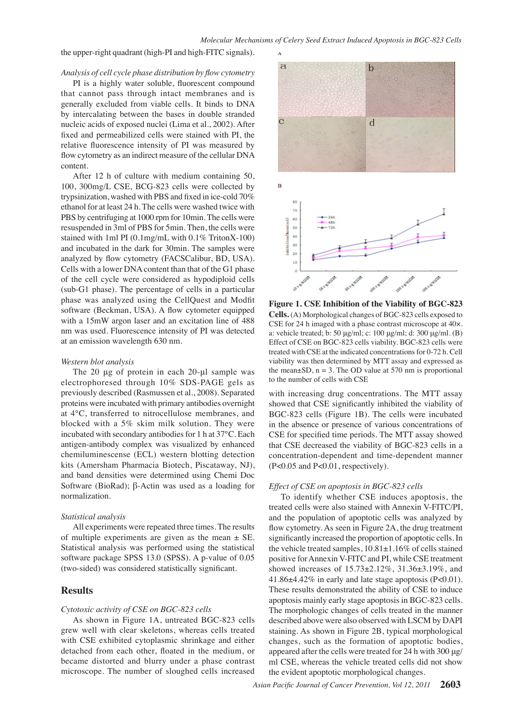the upper-right quadrant (high-PI and high-FITC signals).

#### *Analysis of cell cycle phase distribution by flow cytometry*

PI is a highly water soluble, fluorescent compound that cannot pass through intact membranes and is generally excluded from viable cells. It binds to DNA by intercalating between the bases in double stranded nucleic acids of exposed nuclei (Lima et al., 2002). After fixed and permeabilized cells were stained with PI, the relative fluorescence intensity of PI was measured by flow cytometry as an indirect measure of the cellular DNA content.

After 12 h of culture with medium containing 50, 100, 300mg/L CSE, BCG-823 cells were collected by trypsinization, washed with PBS and fixed in ice-cold 70% ethanol for at least 24 h. The cells were washed twice with PBS by centrifuging at 1000 rpm for 10min. The cells were resuspended in 3ml of PBS for 5min. Then, the cells were stained with 1ml PI (0.1mg/mL with 0.1% TritonX-100) and incubated in the dark for 30min. The samples were analyzed by flow cytometry (FACSCalibur, BD, USA). Cells with a lower DNA content than that of the G1 phase of the cell cycle were considered as hypodiploid cells (sub-G1 phase). The percentage of cells in a particular phase was analyzed using the CellQuest and Modfit software (Beckman, USA). A flow cytometer equipped with a 15mW argon laser and an excitation line of 488 nm was used. Fluorescence intensity of PI was detected at an emission wavelength 630 nm.

#### *Western blot analysis*

The 20 μg of protein in each 20-μl sample was electrophoresed through 10% SDS-PAGE gels as previously described (Rasmussen et al., 2008). Separated proteins were incubated with primary antibodies overnight at 4°C, transferred to nitrocellulose membranes, and blocked with a 5% skim milk solution. They were incubated with secondary antibodies for 1 h at 37°C. Each antigen-antibody complex was visualized by enhanced chemiluminescense (ECL) western blotting detection kits (Amersham Pharmacia Biotech, Piscataway, NJ), and band densities were determined using Chemi Doc Software (BioRad); β-Actin was used as a loading for normalization.

#### *Statistical analysis*

All experiments were repeated three times. The results of multiple experiments are given as the mean  $\pm$  SE. Statistical analysis was performed using the statistical software package SPSS 13.0 (SPSS). A p-value of 0.05 (two-sided) was considered statistically significant.

# **Results**

#### *Cytotoxic activity of CSE on BGC-823 cells*

As shown in Figure 1A, untreated BGC-823 cells grew well with clear skeletons, whereas cells treated with CSE exhibited cytoplasmic shrinkage and either detached from each other, floated in the medium, or became distorted and blurry under a phase contrast microscope. The number of sloughed cells increased



**Figure 1. CSE Inhibition of the Viability of BGC-823 Cells.** (A) Morphological changes of BGC-823 cells exposed to CSE for 24 h imaged with a phase contrast microscope at 40×. a: vehicle treated; b: 50 μg/ml; c: 100 μg/ml; d: 300 μg/ml. (B) Effect of CSE on BGC-823 cells viability. BGC-823 cells were treated with CSE at the indicated concentrations for 0-72 h. Cell viability was then determined by MTT assay and expressed as the mean $\pm$ SD, n = 3. The OD value at 570 nm is proportional to the number of cells with CSE

with increasing drug concentrations. The MTT assay showed that CSE significantly inhibited the viability of BGC-823 cells (Figure 1B). The cells were incubated in the absence or presence of various concentrations of CSE for specified time periods. The MTT assay showed that CSE decreased the viability of BGC-823 cells in a concentration-dependent and time-dependent manner (P<0.05 and P<0.01, respectively).

#### *Effect of CSE on apoptosis in BGC-823 cells*

To identify whether CSE induces apoptosis, the treated cells were also stained with Annexin V-FITC/PI, and the population of apoptotic cells was analyzed by flow cytometry. As seen in Figure 2A, the drug treatment significantly increased the proportion of apoptotic cells. In the vehicle treated samples, 10.81±1.16% of cells stained positive for Annexin V-FITC and PI, while CSE treatment showed increases of 15.73±2.12%, 31.36±3.19%, and 41.86±4.42% in early and late stage apoptosis (P<0.01). These results demonstrated the ability of CSE to induce apoptosis mainly early stage apoptosis in BGC-823 cells. The morphologic changes of cells treated in the manner described above were also observed with LSCM by DAPI staining. As shown in Figure 2B, typical morphological changes, such as the formation of apoptotic bodies, appeared after the cells were treated for 24 h with 300 μg/ ml CSE, whereas the vehicle treated cells did not show the evident apoptotic morphological changes.

**20.3 6.3 10.1**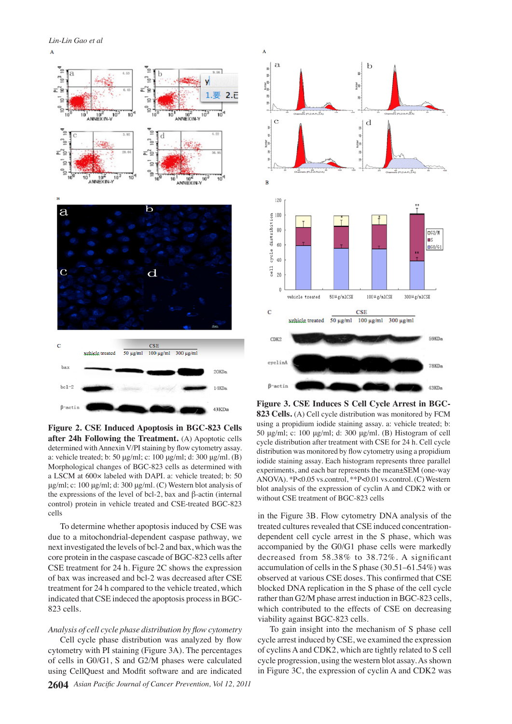

**Figure 2. CSE Induced Apoptosis in BGC-823 Cells after 24h Following the Treatment.** (A) Apoptotic cells determined with Annexin V/PI staining by flow cytometry assay. a: vehicle treated; b: 50 μg/ml; c: 100 μg/ml; d: 300 μg/ml. (B) Morphological changes of BGC-823 cells as determined with a LSCM at 600× labeled with DAPI. a: vehicle treated; b: 50 μg/ml; c: 100 μg/ml; d: 300 μg/ml. (C) Western blot analysis of the expressions of the level of bcl-2, bax and β-actin (internal control) protein in vehicle treated and CSE-treated BGC-823 cells

To determine whether apoptosis induced by CSE was due to a mitochondrial-dependent caspase pathway, we next investigated the levels of bcl-2 and bax, which was the core protein in the caspase cascade of BGC-823 cells after CSE treatment for 24 h. Figure 2C shows the expression of bax was increased and bcl-2 was decreased after CSE treatment for 24 h compared to the vehicle treated, which indicated that CSE indeced the apoptosis process in BGC-823 cells.

# *Analysis of cell cycle phase distribution by flow cytometry*

Cell cycle phase distribution was analyzed by flow cytometry with PI staining (Figure 3A). The percentages of cells in G0/G1, S and G2/M phases were calculated using CellQuest and Modfit software and are indicated



**Figure 3. CSE Induces S Cell Cycle Arrest in BGC-823 Cells.** (A) Cell cycle distribution was monitored by FCM using a propidium iodide staining assay. a: vehicle treated; b: 50 μg/ml; c: 100 μg/ml; d: 300 μg/ml. (B) Histogram of cell cycle distribution after treatment with CSE for 24 h. Cell cycle distribution was monitored by flow cytometry using a propidium iodide staining assay. Each histogram represents three parallel experiments, and each bar represents the mean±SEM (one-way ANOVA). \*P<0.05 vs.control, \*\*P<0.01 vs.control. (C) Western blot analysis of the expression of cyclin A and CDK2 with or without CSE treatment of BGC-823 cells

in the Figure 3B. Flow cytometry DNA analysis of the treated cultures revealed that CSE induced concentrationdependent cell cycle arrest in the S phase, which was accompanied by the G0/G1 phase cells were markedly decreased from 58.38% to 38.72%. A significant accumulation of cells in the S phase (30.51–61.54%) was observed at various CSE doses. This confirmed that CSE blocked DNA replication in the S phase of the cell cycle rather than G2/M phase arrest induction in BGC-823 cells, which contributed to the effects of CSE on decreasing viability against BGC-823 cells.

To gain insight into the mechanism of S phase cell cycle arrest induced by CSE, we examined the expression of cyclins A and CDK2, which are tightly related to S cell cycle progression, using the western blot assay. As shown in Figure 3C, the expression of cyclin A and CDK2 was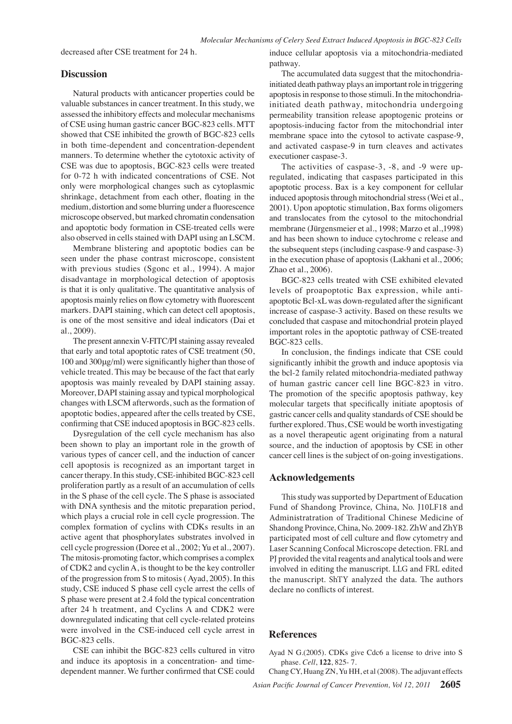decreased after CSE treatment for 24 h.

# **Discussion**

Natural products with anticancer properties could be valuable substances in cancer treatment. In this study, we assessed the inhibitory effects and molecular mechanisms of CSE using human gastric cancer BGC-823 cells. MTT showed that CSE inhibited the growth of BGC-823 cells in both time-dependent and concentration-dependent manners. To determine whether the cytotoxic activity of CSE was due to apoptosis, BGC-823 cells were treated for 0-72 h with indicated concentrations of CSE. Not only were morphological changes such as cytoplasmic shrinkage, detachment from each other, floating in the medium, distortion and some blurring under a fluorescence microscope observed, but marked chromatin condensation and apoptotic body formation in CSE-treated cells were also observed in cells stained with DAPI using an LSCM.

Membrane blistering and apoptotic bodies can be seen under the phase contrast microscope, consistent with previous studies (Sgonc et al., 1994). A major disadvantage in morphological detection of apoptosis is that it is only qualitative. The quantitative analysis of apoptosis mainly relies on flow cytometry with fluorescent markers. DAPI staining, which can detect cell apoptosis, is one of the most sensitive and ideal indicators (Dai et al., 2009).

The present annexin V-FITC/PI staining assay revealed that early and total apoptotic rates of CSE treatment (50, 100 and 300μg/ml) were significantly higher than those of vehicle treated. This may be because of the fact that early apoptosis was mainly revealed by DAPI staining assay. Moreover, DAPI staining assay and typical morphological changes with LSCM afterwords, such as the formation of apoptotic bodies, appeared after the cells treated by CSE, confirming that CSE induced apoptosis in BGC-823 cells.

Dysregulation of the cell cycle mechanism has also been shown to play an important role in the growth of various types of cancer cell, and the induction of cancer cell apoptosis is recognized as an important target in cancer therapy. In this study, CSE-inhibited BGC-823 cell proliferation partly as a result of an accumulation of cells in the S phase of the cell cycle. The S phase is associated with DNA synthesis and the mitotic preparation period, which plays a crucial role in cell cycle progression. The complex formation of cyclins with CDKs results in an active agent that phosphorylates substrates involved in cell cycle progression (Doree et al., 2002; Yu et al., 2007). The mitosis-promoting factor, which comprises a complex of CDK2 and cyclin A, is thought to be the key controller of the progression from S to mitosis ( Ayad, 2005). In this study, CSE induced S phase cell cycle arrest the cells of S phase were present at 2.4 fold the typical concentration after 24 h treatment, and Cyclins A and CDK2 were downregulated indicating that cell cycle-related proteins were involved in the CSE-induced cell cycle arrest in BGC-823 cells.

CSE can inhibit the BGC-823 cells cultured in vitro and induce its apoptosis in a concentration- and timedependent manner. We further confirmed that CSE could

induce cellular apoptosis via a mitochondria-mediated pathway.

The accumulated data suggest that the mitochondriainitiated death pathway plays an important role in triggering apoptosis in response to those stimuli. In the mitochondriainitiated death pathway, mitochondria undergoing permeability transition release apoptogenic proteins or apoptosis-inducing factor from the mitochondrial inter membrane space into the cytosol to activate caspase-9, and activated caspase-9 in turn cleaves and activates executioner caspase-3.

The activities of caspase-3, -8, and -9 were upregulated, indicating that caspases participated in this apoptotic process. Bax is a key component for cellular induced apoptosis through mitochondrial stress (Wei et al., 2001). Upon apoptotic stimulation, Bax forms oligomers and translocates from the cytosol to the mitochondrial membrane (Jürgensmeier et al., 1998; Marzo et al.,1998) and has been shown to induce cytochrome c release and the subsequent steps (including caspase-9 and caspase-3) in the execution phase of apoptosis (Lakhani et al., 2006; Zhao et al., 2006).

BGC-823 cells treated with CSE exhibited elevated levels of proapoptotic Bax expression, while antiapoptotic Bcl-xL was down-regulated after the significant increase of caspase-3 activity. Based on these results we concluded that caspase and mitochondrial protein played important roles in the apoptotic pathway of CSE-treated BGC-823 cells.

In conclusion, the findings indicate that CSE could significantly inhibit the growth and induce apoptosis via the bcl-2 family related mitochondria-mediated pathway of human gastric cancer cell line BGC-823 in vitro. The promotion of the specific apoptosis pathway, key molecular targets that specifically initiate apoptosis of gastric cancer cells and quality standards of CSE should be further explored. Thus, CSE would be worth investigating as a novel therapeutic agent originating from a natural source, and the induction of apoptosis by CSE in other cancer cell lines is the subject of on-going investigations.

# **Acknowledgements**

This study was supported by Department of Education Fund of Shandong Province, China, No. J10LF18 and Administratration of Traditional Chinese Medicine of Shandong Province, China, No. 2009-182. ZhW and ZhYB participated most of cell culture and flow cytometry and Laser Scanning Confocal Microscope detection. FRL and PJ provided the vital reagents and analytical tools and were involved in editing the manuscript. LLG and FRL edited the manuscript. ShTY analyzed the data. The authors declare no conflicts of interest.

# **References**

Ayad N G.(2005). CDKs give Cdc6 a license to drive into S phase. *Cell*, **122**, 825- 7.

*Asian Pacific Journal of Cancer Prevention, Vol 12, 2011* **2605** Chang CY, Huang ZN, Yu HH, et al (2008). The adjuvant effects